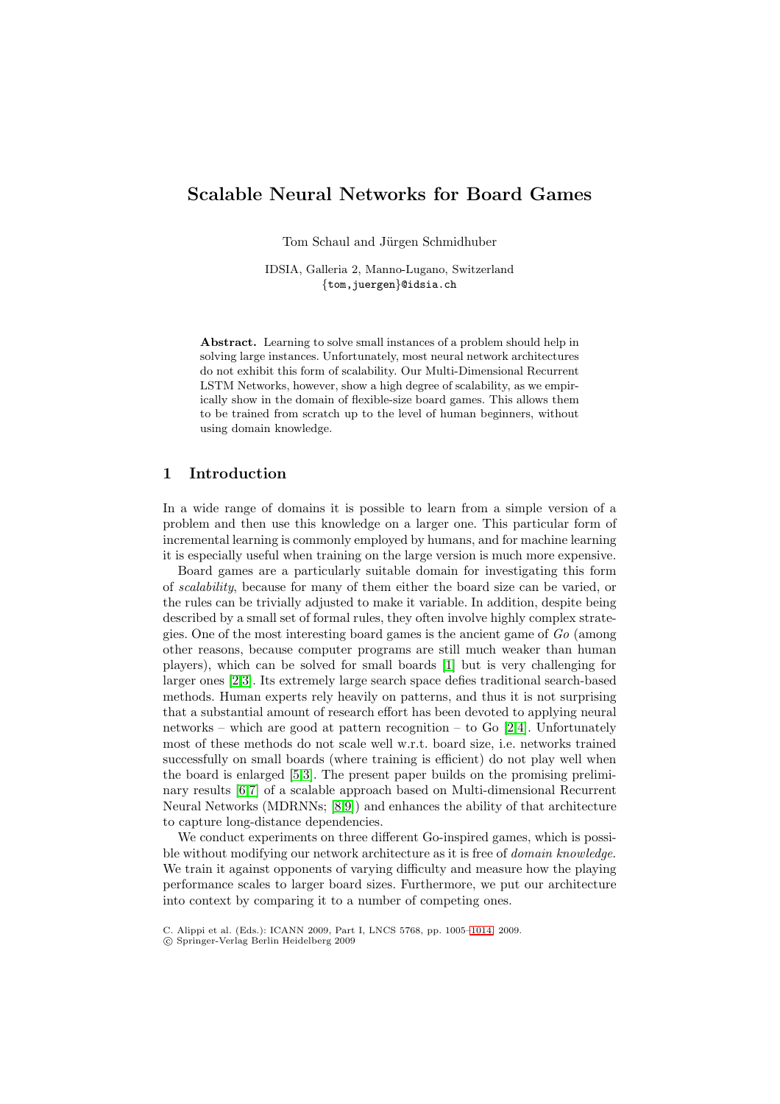# **Scalable Neural Networks for Board Games**

Tom Schaul and Jürgen Schmidhuber

IDSIA, Galleria 2, Manno-Lugano, Switzerland *{*tom,juergen*}*@idsia.ch

**Abstract.** Learning to solve small instances of a problem should help in solving large instances. Unfortunately, most neural network architectures do not exhibit this form of scalability. Our Multi-Dimensional Recurrent LSTM Networks, however, show a high degree of scalability, as we empirically show in the domain of flexible-size board games. This allows them to be trained from scratch up to the level of human beginners, without using domain knowledge.

# **1 Introduction**

In a wide range of domains it is possible to learn from a simple version of a problem and then use this knowledge on a larger one. This particular form of incremental learning is commonly employed by humans, and for machine learning it is especially useful when training on the large version is much more expensive.

Board games are a particularly suitable domain for investigating this form of *scalability*, because for many of them either the board size can be varied, or the rules can be trivially adjusted to make it variable. In addition, despite being described by a small set of formal rules, they often involve highly complex strategies. One of the most interesting board games is the ancient game of *Go* (among other reasons, because computer programs are still much weaker than human players), which can be solved for small boards [1] but is very challenging for larger ones [2,3]. Its extremely large search space defies traditional search-based methods. Human experts rely heavily on patterns, and thus it is not surprising that a substantial amount of research effort has been devoted to applying neural networks – which are good at pattern recognitio[n](#page-8-0) – to Go [2,4]. Unfortunately most of the[se](#page-8-1) [m](#page-8-2)ethods do not scale well w.r.t. board size, i.e. networks trained successfully on small boards (where training is efficient) do not play well when the board is enlarged [5,3]. The present paper builds on the promising preliminary results [6,7] of a scalable approach based on Multi-di[me](#page-8-1)[ns](#page-9-0)ional Recurrent Neural Networks (MDRNNs; [8,9]) and enhances the ability of that architecture to capture long-distance dependencies.

We conduct experi[me](#page-9-1)[nt](#page-8-2)s on three different Go-inspired games, which is possible without [mo](#page-9-2)[di](#page-9-3)fying our network architecture as it is free of *domain knowledge*. We train it against opponents [o](#page-9-4)[f v](#page-9-5)arying difficulty and measure how the playing performance scales to larger board sizes. Furthermore, we put our architecture into context by comparing it to a number of competing ones.

C. Alippi et al. (Eds.): ICANN 2009, Part I, LNCS 5768, pp. 1005–1014, 2009.

<sup>-</sup>c Springer-Verlag Berlin Heidelberg 2009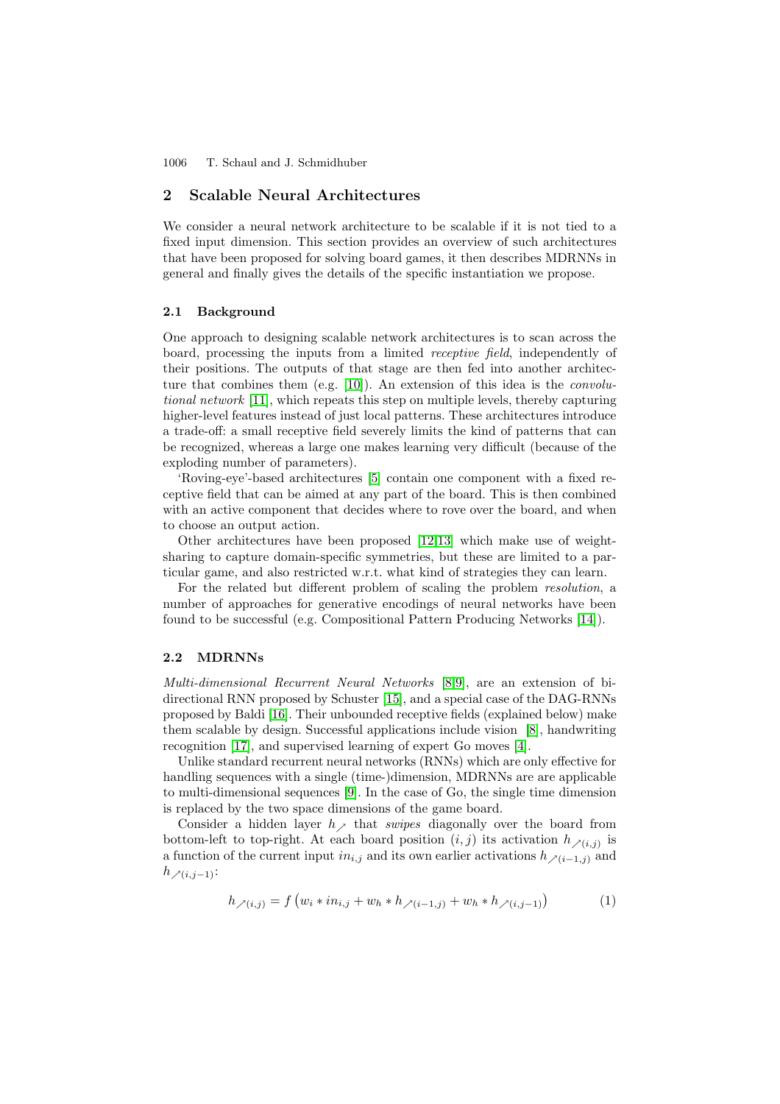1006 T. Schaul and J. Schmidhuber

# **2 Scalable Neural Architectures**

We consider a neural network architecture to be scalable if it is not tied to a fixed input dimension. This section provides an overview of such architectures that have been proposed for solving board games, it then describes MDRNNs in general and finally gives the details of the specific instantiation we propose.

#### **2.1 Background**

One approach to designing scalable network architectures is to scan across the board, processing the inputs from a limited *receptive field*, independently of their positions. The outputs of that stage are then fed into another architecture that combines them (e.g. [10]). An extension of this idea is the *convolutional network* [11], which repeats this step on multiple levels, thereby capturing higher-level features instead of just local patterns. These architectures introduce a trade-off: a small receptive field severely limits the kind of patterns that can be recognized, whereas a large [one](#page-9-6) makes learning very difficult (because of the exploding num[ber](#page-9-7) of parameters).

'Roving-eye'-based architectures [5] contain one component with a fixed receptive field that can be aimed at any part of the board. This is then combined with an active component that decides where to rove over the board, and when to choose an output action.

Other architectures have been p[ro](#page-9-1)posed [12,13] which make use of weightsharing to capture domain-specific symmetries, but these are limited to a particular game, and also restricted w.r.t. what kind of strategies they can learn.

For the related but different problem of scaling the problem *resolution*, a number of approaches for generative encodi[ngs](#page-9-8) [of](#page-9-9) neural networks have been found to be successful (e.g. Compositional Pattern Producing Networks [14]).

#### **2.2 MDRNNs**

*Multi-dimensional Recurrent Neural Networks* [8,9], are an extension [of](#page-9-10) bidirectional RNN proposed by Schuster [15], and a special case of the DAG-RNNs proposed by Baldi [16]. Their unbounded receptive fields (explained below) make them scalable by design. Successful applications include vision [8], handwriting recognition [17], and supervised learning of exper[t](#page-9-4) [G](#page-9-5)o moves [4].

Unlike standard recurrent neural net[wor](#page-9-11)ks (RNNs) which are only effective for handling sequence[s wi](#page-9-12)th a single (time-)dimension, MDRNNs are are applicable to multi-dimensional sequences [9]. In the case of Go, the single [ti](#page-9-4)me dimension is replaced [by t](#page-9-13)he two space dimensions of the game board.

Consider a hidden layer  $h \nearrow$  that *swipes* diagonally over the board from bottom-left to top-right. At each board position  $(i, j)$  its activation  $h_{\mathscr{S}(i,j)}$  is a function of the current input  $in_{i,j}$  $in_{i,j}$  $in_{i,j}$  and its own earlier activations  $h_{\chi(i-1,j)}$  and  $h_{\nearrow(i,j-1)}$ :

$$
h_{\text{N}(i,j)} = f\left(w_i * in_{i,j} + w_h * h_{\text{N}(i-1,j)} + w_h * h_{\text{N}(i,j-1)}\right) \tag{1}
$$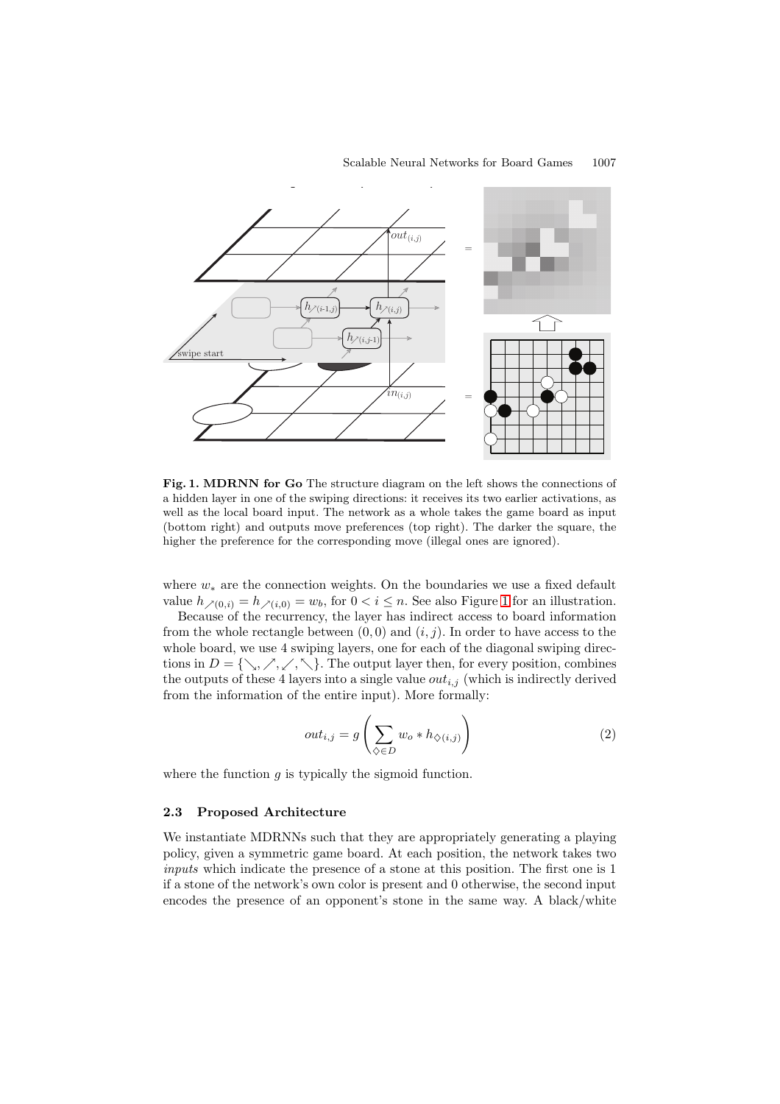

**Fig. 1. MDRNN for Go** The structure diagram on the left shows the connections of a hidden layer in one of the swiping directions: it receives its two earlier activations, as well as the local board input. The network as a whole takes the game board as input (bottom right) and outputs move preferences (top right). The darker the square, the higher the preference for the corresponding move (illegal ones are ignored).

<span id="page-2-0"></span>where  $w_*$  are the connection weights. On the boundaries we use a fixed default value  $h_{\chi(0,i)} = h_{\chi(i,0)} = w_b$ , for  $0 < i \leq n$ . See also Figure 1 for an illustration.

Because of the recurrency, the layer has indirect access to board information from the whole rectangle between  $(0,0)$  and  $(i, j)$ . In order to have access to the whole board, we use 4 swiping layers, one for each of the diagonal swiping directions in  $D = \{\setminus, \nearrow, \nearrow, \}$ . The output layer then, for eve[ry](#page-2-0) position, combines the outputs of these 4 layers into a single value  $out_{i,j}$  (which is indirectly derived from the information of the entire input). More formally:

$$
out_{i,j} = g\left(\sum_{\diamondsuit \in D} w_o * h_{\diamondsuit(i,j)}\right) \tag{2}
$$

where the function  $q$  is typically the sigmoid function.

#### **2.3 Proposed Architecture**

<span id="page-2-1"></span>We instantiate MDRNNs such that they are appropriately generating a playing policy, given a symmetric game board. At each position, the network takes two *inputs* which indicate the presence of a stone at this position. The first one is 1 if a stone of the network's own color is present and 0 otherwise, the second input encodes the presence of an opponent's stone in the same way. A black/white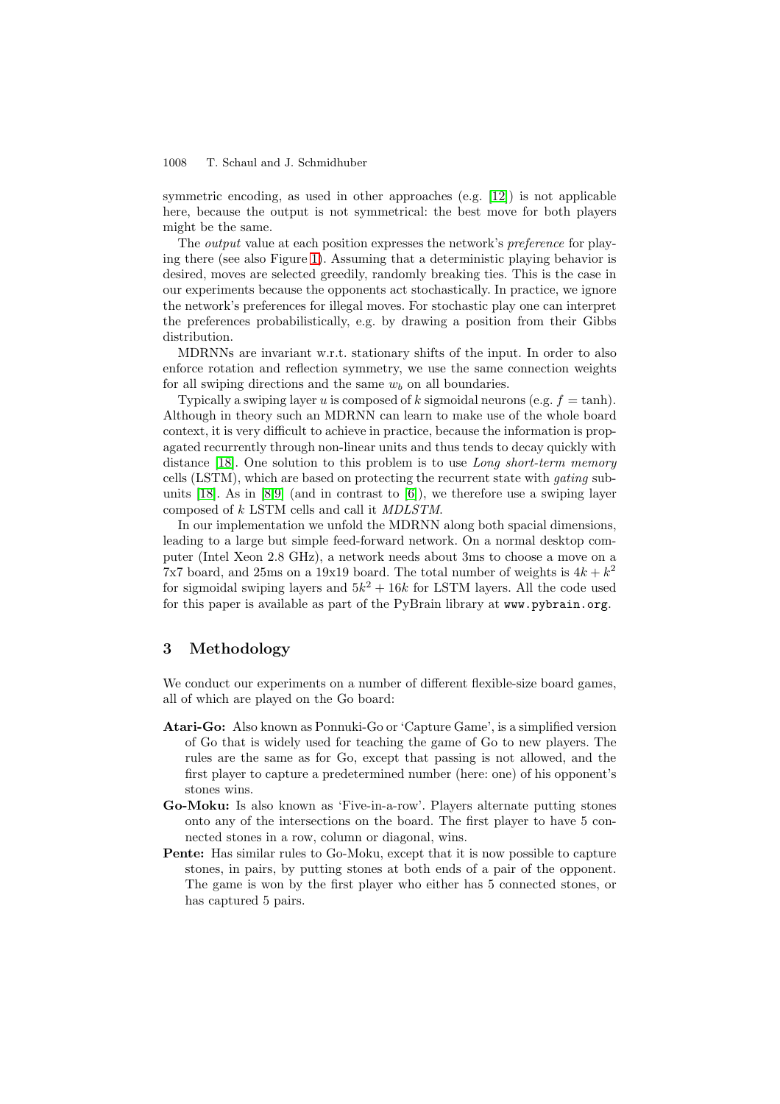#### 1008 T. Schaul and J. Schmidhuber

symmetric encoding, as used in other approaches (e.g. [12]) is not applicable here, because the output is not symmetrical: the best move for both players might be the same.

The *output* value at each position expresses the network's *preference* for playing there (see also Figure 1). Assuming that a determinis[tic](#page-9-8) playing behavior is desired, moves are selected greedily, randomly breaking ties. This is the case in our experiments because the opponents act stochastically. In practice, we ignore the network's preferences for illegal moves. For stochastic play one can interpret the preferences probabili[sti](#page-2-0)cally, e.g. by drawing a position from their Gibbs distribution.

MDRNNs are invariant w.r.t. stationary shifts of the input. In order to also enforce rotation and reflection symmetry, we use the same connection weights for all swiping directions and the same  $w<sub>b</sub>$  on all boundaries.

Typically a swiping layer u is composed of k sigmoidal neurons (e.g.  $f = \tanh$ ). Although in theory such an MDRNN can learn to make use of the whole board context, it is very difficult to achieve in practice, because the information is propagated recurrently through non-linear units and thus tends to decay quickly with distance [18]. One solution to this problem is to use *Long short-term memory* cells (LSTM), which are based on protecting the recurrent state with *gating* subunits  $[18]$ . As in  $[8,9]$  (and in contrast to  $[6]$ ), we therefore use a swiping layer composed of k LSTM cells and call it *MDLSTM*.

In our [imp](#page-9-14)lementation we unfold the MDRNN along both spacial dimensions, leading to a large but simple feed-forward network. On a normal desktop computer [\(In](#page-9-14)tel Xeon [2](#page-9-4)[.8](#page-9-5) GHz), a network ne[eds](#page-9-2) about 3ms to choose a move on a 7x7 board, and 25ms on a 19x19 board. The total number of weights is  $4k + k^2$ for sigmoidal swiping layers and  $5k^2 + 16k$  for LSTM layers. All the code used for this paper is available as part of the PyBrain library at www.pybrain.org.

# **3 Methodology**

We conduct our experiments on a number of different flexible-size board games, all of which are played on the Go board:

- **Atari-Go:** Also known as Ponnuki-Go or 'Capture Game', is a simplified version of Go that is widely used for teaching the game of Go to new players. The rules are the same as for Go, except that passing is not allowed, and the first player to capture a predetermined number (here: one) of his opponent's stones wins.
- **Go-Moku:** Is also known as 'Five-in-a-row'. Players alternate putting stones onto any of the intersections on the board. The first player to have 5 connected stones in a row, column or diagonal, wins.
- **Pente:** Has similar rules to Go-Moku, except that it is now possible to capture stones, in pairs, by putting stones at both ends of a pair of the opponent. The game is won by the first player who either has 5 connected stones, or has captured 5 pairs.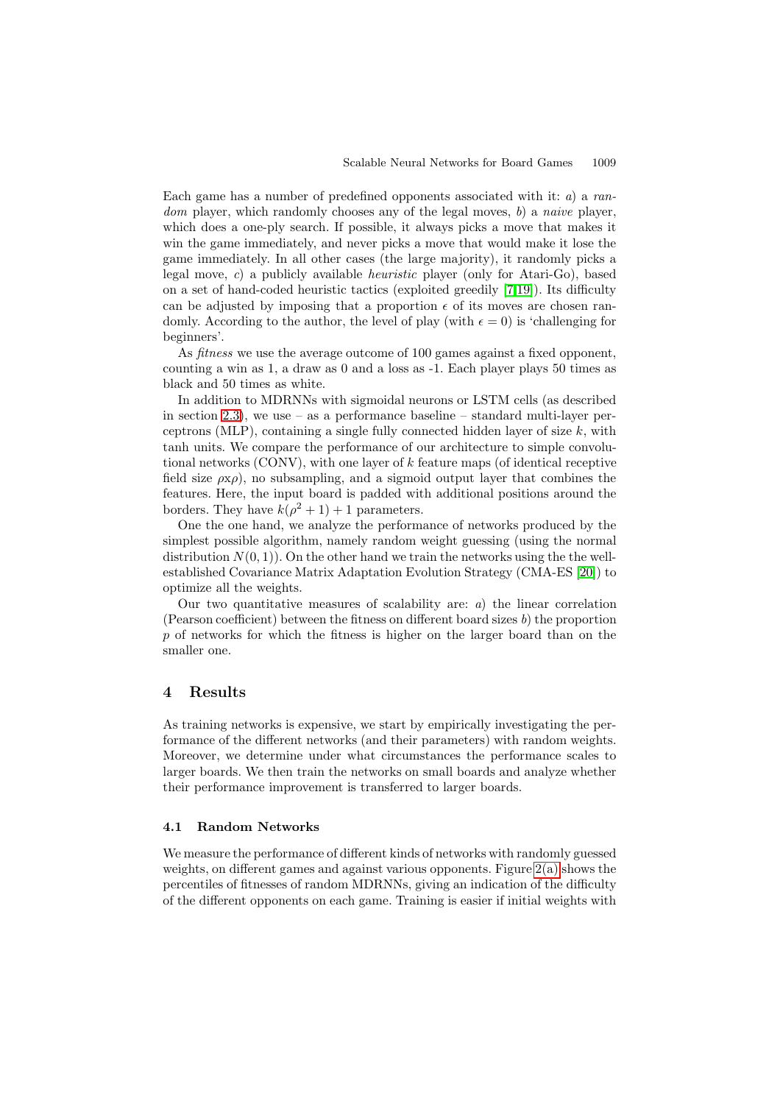Each game has a number of predefined opponents associated with it: *a*) a *random* player, which randomly chooses any of the legal moves, *b*) a *naive* player, which does a one-ply search. If possible, it always picks a move that makes it win the game immediately, and never picks a move that would make it lose the game immediately. In all other cases (the large majority), it randomly picks a legal move, *c*) a publicly available *heuristic* player (only for Atari-Go), based on a set of hand-coded heuristic tactics (exploited greedily [7,19]). Its difficulty can be adjusted by imposing that a proportion  $\epsilon$  of its moves are chosen ran-<br>domly  $\Delta$  coording to the author the layel of play (with  $\epsilon = 0$ ) is 'challenging for domly. According to the author, the level of play (with  $\epsilon = 0$ ) is 'challenging for<br>heginners' beginners'.

As *fitness* we use the average outcome of 100 games again[st](#page-9-3) [a fi](#page-9-15)xed opponent, counting a win as 1, a draw as 0 and a loss as -1. Each player plays 50 times as black and 50 times as white.

In addition to MDRNNs with sigmoidal neurons or LSTM cells (as described in section 2.3), we use – as a performance baseline – standard multi-layer perceptrons (MLP), containing a single fully connected hidden layer of size  $k$ , with tanh units. We compare the performance of our architecture to simple convolutional networks (CONV), with one layer of k feature maps (of identical receptive field size  $\rho x\rho$  $\rho x\rho$  $\rho x\rho$ , no subsampling, and a sigmoid output layer that combines the features. Here, the input board is padded with additional positions around the borders. They have  $k(\rho^2 + 1) + 1$  parameters.

One the one hand, we analyze the performance of networks produced by the simplest possible algorithm, namely random weight guessing (using the normal distribution  $N(0, 1)$ . On the other hand we train the networks using the the wellestablished Covariance Matrix Adaptation Evolution Strategy (CMA-ES [20]) to optimize all the weights.

Our two quantitative measures of scalability are: *a*) the linear correlation (Pearson coefficient) between the fitness on different board sizes *b*) the proportion p of networks for which the fitness is higher on the larger board than [on](#page-9-16) the smaller one.

# **4 Results**

As training networks is expensive, we start by empirically investigating the performance of the different networks (and their parameters) with random weights. Moreover, we determine under what circumstances the performance scales to larger boards. We then train the networks on small boards and analyze whether their performance improvement is transferred to larger boards.

#### **4.1 Random Networks**

We measure the performance of different kinds of networks with randomly guessed weights, on different games and against various opponents. Figure  $2(a)$  shows the percentiles of fitnesses of random MDRNNs, giving an indication of the difficulty of the different opponents on each game. Training is easier if initial weights with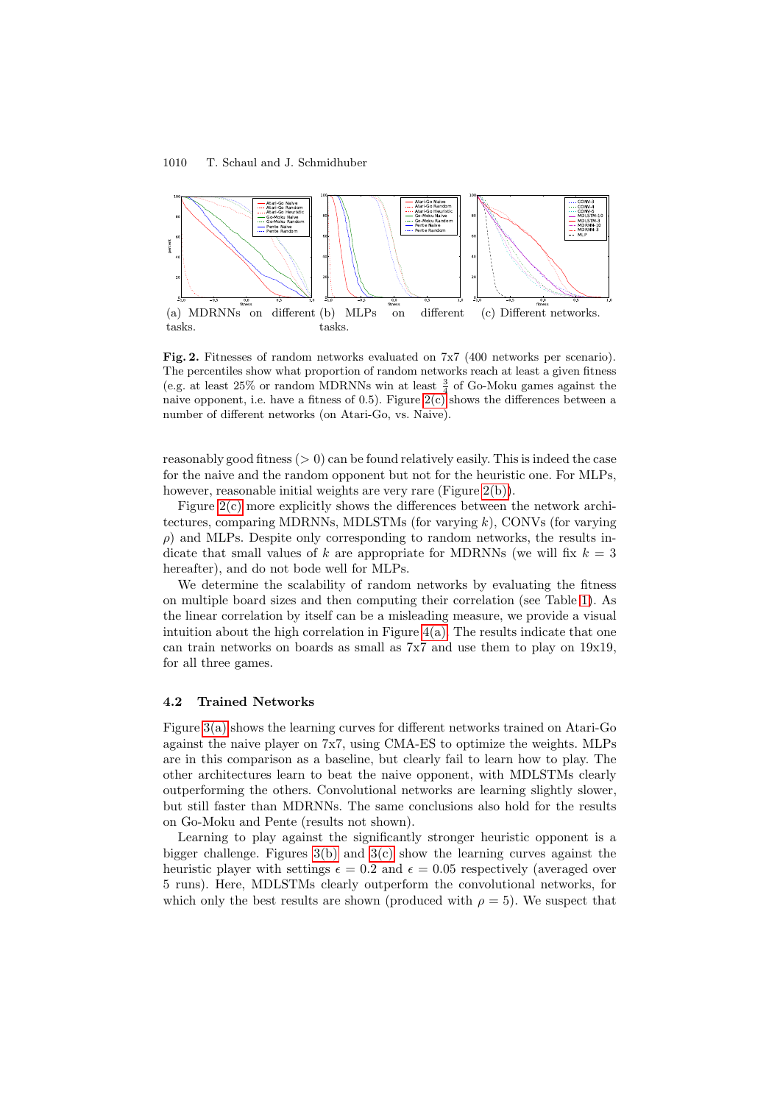

<span id="page-5-1"></span><span id="page-5-0"></span>**Fig. 2.** Fitnesses of random networks evaluated on 7x7 (400 networks per scenario). The percentiles show what proportion of random networks reach at least a given fitness (e.g. at least 25% or random MDRNNs win at least  $\frac{3}{4}$  of Go-Moku games against the naive opponent, i.e. have a fitness of 0.5). Figure  $2(c)$  shows the differences between a number of different networks (on Atari-Go, vs. Naive).

reasonably good fitness  $(> 0)$  can be found rela[tively](#page-5-0) easily. This is indeed the case for the naive and the random opponent but not for the heuristic one. For MLPs, however, reasonable initial weights are very rare (Figure 2(b)).

Figure 2(c) more explicitly shows the differences between the network architectures, comparing MDRNNs, MDLSTMs (for varying k), CONVs (for varying  $\rho$ ) and MLPs. Despite only corresponding to random networks, the results in-dicate that small values of k are appropriate for MD[RNNs](#page-5-1) (we will fix  $k = 3$ ) hereafter[\), and](#page-5-0) do not bode well for MLPs.

We determine the scalability of random networks by evaluating the fitness on multiple board sizes and then computing their correlation (see Table 1). As the linear correlation by itself can be a misleading measure, we provide a visual intuition about the high correlation in Figure  $4(a)$ . The results indicate that one can train networks on boards as small as  $7x7$  and use them to play on  $19x19$ , for all three games.

#### **4.2 Trained Networks**

Figure 3(a) shows the learning curves for different networks trained on Atari-Go against the naive player on 7x7, using CMA-ES to optimize the weights. MLPs are in this comparison as a baseline, but clearly fail to learn how to play. The other architectures learn to beat the naive opponent, with MDLSTMs clearly outper[formi](#page-6-0)ng the others. Convolutional networks are learning slightly slower, but still faster than MDRNNs. The same conclusions also hold for the results on Go-Moku and Pente (results not shown).

Learning to play against the significantly stronger heuristic opponent is a bigger challenge. Figures  $3(b)$  and  $3(c)$  show the learning curves against the heuristic player with settings  $\epsilon = 0.2$  and  $\epsilon = 0.05$  respectively (averaged over<br>5 runs). Here MDLSTMs clearly outperform the convolutional networks for 5 runs). Here, MDLSTMs clearly outperform the convolutional networks, for which only the best results are shown (produced with  $\rho = 5$ ). We suspect that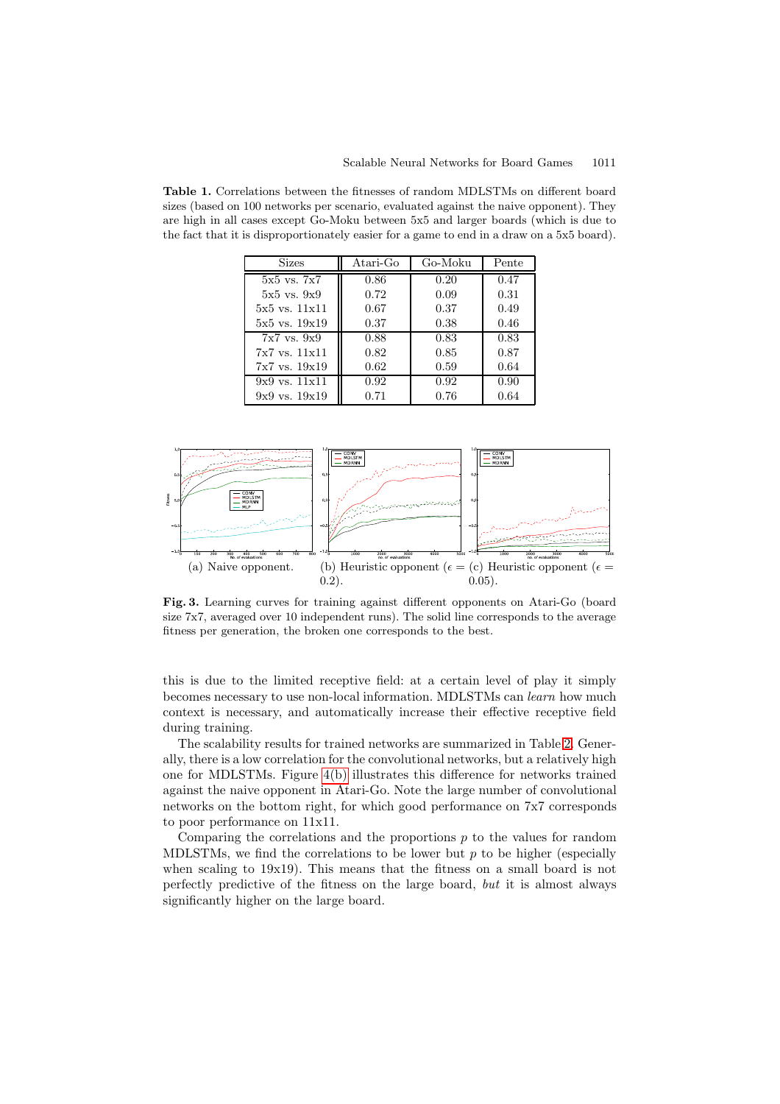**Table 1.** Correlations between the fitnesses of random MDLSTMs on different board sizes (based on 100 networks per scenario, evaluated against the naive opponent). They are high in all cases except Go-Moku between 5x5 and larger boards (which is due to the fact that it is disproportionately easier for a game to end in a draw on a 5x5 board).

| <b>Sizes</b>      | Atari-Go | Go-Moku | Pente |
|-------------------|----------|---------|-------|
| $5x5$ vs. $7x7$   | 0.86     | 0.20    | 0.47  |
| $5x5$ vs. $9x9$   | 0.72     | 0.09    | 0.31  |
| $5x5$ vs. $11x11$ | 0.67     | 0.37    | 0.49  |
| $5x5$ vs. $19x19$ | 0.37     | 0.38    | 0.46  |
| $7x7$ vs. $9x9$   | 0.88     | 0.83    | 0.83  |
| $7x7$ vs. $11x11$ | 0.82     | 0.85    | 0.87  |
| $7x7$ vs. $19x19$ | 0.62     | 0.59    | 0.64  |
| $9x9$ vs. $11x11$ | 0.92     | 0.92    | 0.90  |
| $9x9$ vs. $19x19$ | 0.71     | 0.76    | 0.64  |



<span id="page-6-0"></span>**Fig. 3.** Learning curves for training against different opponents on Atari-Go (board size 7x7, averaged over 10 independent runs). The solid line corresponds to the average fitness per generation, the broken one corresponds to the best.

this is due to the limited receptive field: at a certain level of play it simply becomes necessary to use non-local information. MDLSTMs can *learn* how much context is necessary, and automatically increase their effective receptive field during training.

The scalability results for trained networks are summarized in Table 2. Generally, there is a low correlation for the convolutional networks, but a relatively high one for MDLSTMs. Figure 4(b) illustrates this difference for networks trained against the naive opponent in Atari-Go. Note the large number of convolutional networks on the bottom right, for which good performance on 7x7 co[rr](#page-7-0)esponds to poor performance on 11x11.

Comparing the correlati[ons an](#page-7-1)d the proportions  $p$  to the values for random MDLSTMs, we find the correlations to be lower but  $p$  to be higher (especially when scaling to 19x19). This means that the fitness on a small board is not perfectly predictive of the fitness on the large board, *but* it is almost always significantly higher on the large board.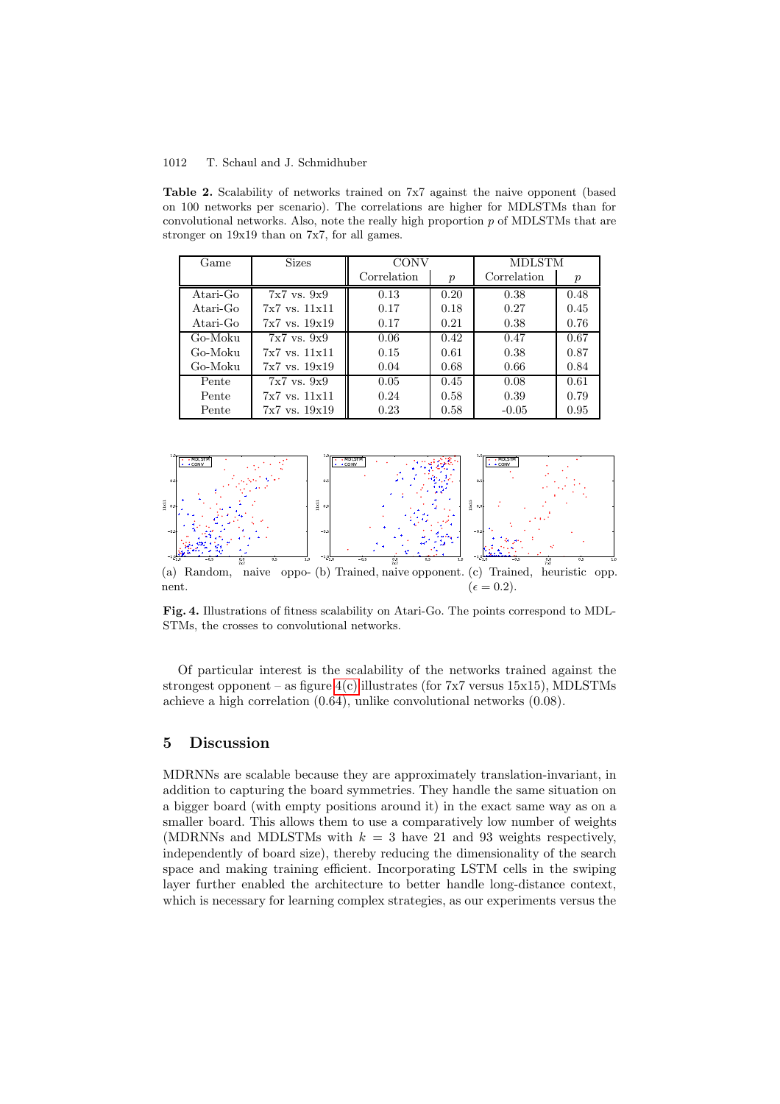#### 1012 T. Schaul and J. Schmidhuber

**Table 2.** Scalability of networks trained on 7x7 against the naive opponent (based on 100 networks per scenario). The correlations are higher for MDLSTMs than for convolutional networks. Also, note the really high proportion  $p$  of MDLSTMs that are stronger on 19x19 than on 7x7, for all games.

<span id="page-7-0"></span>

| Game           | <b>Sizes</b>      | <b>CONV</b> |                  | <b>MDLSTM</b> |                  |
|----------------|-------------------|-------------|------------------|---------------|------------------|
|                |                   | Correlation | $\boldsymbol{p}$ | Correlation   | $\boldsymbol{p}$ |
| $\rm Atari-Go$ | $7x7$ vs. $9x9$   | 0.13        | 0.20             | 0.38          | 0.48             |
| Atari-Go       | $7x7$ vs. $11x11$ | 0.17        | 0.18             | 0.27          | 0.45             |
| Atari-Go       | $7x7$ vs. $19x19$ | 0.17        | 0.21             | 0.38          | 0.76             |
| Go-Moku        | $7x7$ vs. $9x9$   | 0.06        | 0.42             | 0.47          | 0.67             |
| Go-Moku        | $7x7$ vs. $11x11$ | 0.15        | 0.61             | 0.38          | 0.87             |
| Go-Moku        | $7x7$ vs. $19x19$ | 0.04        | 0.68             | 0.66          | 0.84             |
| Pente          | $7x7$ vs. $9x9$   | 0.05        | 0.45             | 0.08          | 0.61             |
| Pente          | $7x7$ vs. $11x11$ | 0.24        | 0.58             | 0.39          | 0.79             |
| Pente          | $7x7$ vs. $19x19$ | 0.23        | 0.58             | $-0.05$       | 0.95             |



nent.  $(\epsilon = 0.2).$ 

**Fig. 4.** Illustrations of fitness scalability on Atari-Go. The points correspond to MDL-STMs, the crosses to convolutional networks.

<span id="page-7-1"></span>Of particular interest is the scalability of the networks trained against the strongest opponent – as figure  $4(c)$  illustrates (for  $7x7$  versus  $15x15$ ), MDLSTMs achieve a high correlation (0.64), unlike convolutional networks (0.08).

### **5 Discussion**

MDRNNs are scalable because they are approximately translation-invariant, in addition to capturing the board symmetries. They handle the same situation on a bigger board (with empty positions around it) in the exact same way as on a smaller board. This allows them to use a comparatively low number of weights (MDRNNs and MDLSTMs with  $k = 3$  have 21 and 93 weights respectively, independently of board size), thereby reducing the dimensionality of the search space and making training efficient. Incorporating LSTM cells in the swiping layer further enabled the architecture to better handle long-distance context, which is necessary for learning complex strategies, as our experiments versus the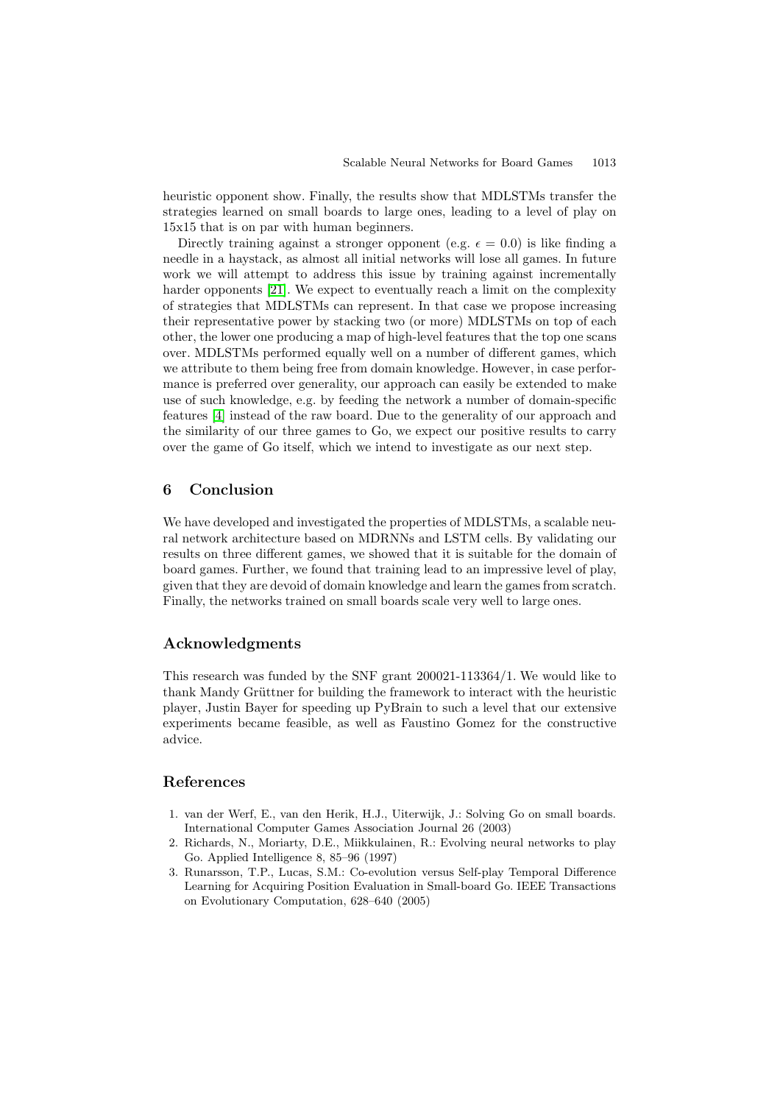heuristic opponent show. Finally, the results show that MDLSTMs transfer the strategies learned on small boards to large ones, leading to a level of play on 15x15 that is on par with human beginners.

Directly training against a stronger opponent (e.g.  $\epsilon = 0.0$ ) is like finding a<br>adle in a havetack as almost all initial networks will lose all games. In future needle in a haystack, as almost all initial networks will lose all games. In future work we will attempt to address this issue by training against incrementally harder opponents [21]. We expect to eventually reach a limit on the complexity of strategies that MDLSTMs can represent. In that case we propose increasing their representative power by stacking two (or more) MDLSTMs on top of each other, the lower one producing a map of high-level features that the top one scans over. MDLSTMs [perf](#page-9-17)ormed equally well on a number of different games, which we attribute to them being free from domain knowledge. However, in case performance is preferred over generality, our approach can easily be extended to make use of such knowledge, e.g. by feeding the network a number of domain-specific features [4] instead of the raw board. Due to the generality of our approach and the similarity of our three games to Go, we expect our positive results to carry over the game of Go itself, which we intend to investigate as our next step.

# **6 Co[nc](#page-9-0)lusion**

We have developed and investigated the properties of MDLSTMs, a scalable neural network architecture based on MDRNNs and LSTM cells. By validating our results on three different games, we showed that it is suitable for the domain of board games. Further, we found that training lead to an impressive level of play, given that they are devoid of domain knowledge and learn the games from scratch. Finally, the networks trained on small boards scale very well to large ones.

# **Acknowledgments**

This research was funded by the SNF grant 200021-113364/1. We would like to thank Mandy Grüttner for building the framework to interact with the heuristic player, Justin Bayer for speeding up PyBrain to such a level that our extensive experiments became feasible, as well as Faustino Gomez for the constructive advice.

### **References**

- 1. van der Werf, E., van den Herik, H.J., Uiterwijk, J.: Solving Go on small boards. International Computer Games Association Journal 26 (2003)
- 2. Richards, N., Moriarty, D.E., Miikkulainen, R.: Evolving neural networks to play Go. Applied Intelligence 8, 85–96 (1997)
- <span id="page-8-2"></span><span id="page-8-1"></span><span id="page-8-0"></span>3. Runarsson, T.P., Lucas, S.M.: Co-evolution versus Self-play Temporal Difference Learning for Acquiring Position Evaluation in Small-board Go. IEEE Transactions on Evolutionary Computation, 628–640 (2005)